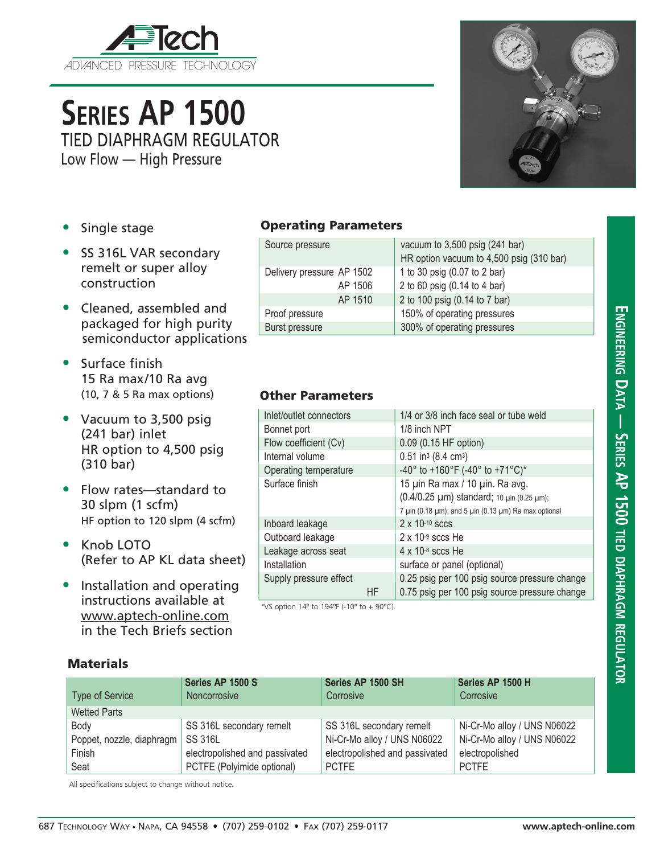

# **Series AP 1500** TIED DIAPHRAGM REGULATOR

Low Flow — High Pressure

- Single stage
- SS 316L VAR secondary remelt or super alloy construction
- Cleaned, assembled and packaged for high purity semiconductor applications
- Surface finish 15 Ra max/10 Ra avg (10, 7 & 5 Ra max options)
- Vacuum to 3,500 psig (241 bar) inlet HR option to 4,500 psig (310 bar)
- Flow rates—standard to 30 slpm (1 scfm) HF option to 120 slpm (4 scfm)
- Knob LOTO (Refer to AP KL data sheet)
- Installation and operating instructions available at www.aptech-online.com in the Tech Briefs section

### Operating Parameters

| Source pressure           | vacuum to $3,500$ psig (241 bar)         |
|---------------------------|------------------------------------------|
|                           | HR option vacuum to 4,500 psig (310 bar) |
| Delivery pressure AP 1502 | 1 to 30 psig (0.07 to 2 bar)             |
| AP 1506                   | 2 to 60 psig (0.14 to 4 bar)             |
| AP 1510                   | 2 to 100 psig (0.14 to 7 bar)            |
| Proof pressure            | 150% of operating pressures              |
| Burst pressure            | 300% of operating pressures              |

#### Other Parameters

| Inlet/outlet connectors |     | 1/4 or 3/8 inch face seal or tube weld                                                                                                                   |  |  |
|-------------------------|-----|----------------------------------------------------------------------------------------------------------------------------------------------------------|--|--|
| Bonnet port             |     | 1/8 inch NPT                                                                                                                                             |  |  |
| Flow coefficient (Cv)   |     | 0.09 (0.15 HF option)                                                                                                                                    |  |  |
| Internal volume         |     | $0.51$ in <sup>3</sup> (8.4 cm <sup>3</sup> )                                                                                                            |  |  |
| Operating temperature   |     | -40° to +160°F (-40° to +71°C)*                                                                                                                          |  |  |
| Surface finish          |     | 15 µin Ra max / 10 µin. Ra avg.<br>(0.4/0.25 µm) standard; 10 µin (0.25 µm);<br>7 $\mu$ in (0.18 $\mu$ m); and 5 $\mu$ in (0.13 $\mu$ m) Ra max optional |  |  |
| Inboard leakage         |     | $2 \times 10^{-10}$ sccs                                                                                                                                 |  |  |
| Outboard leakage        |     | $2 \times 10^{-9}$ sccs He                                                                                                                               |  |  |
| Leakage across seat     |     | $4 \times 10^{-8}$ sccs He                                                                                                                               |  |  |
| Installation            |     | surface or panel (optional)                                                                                                                              |  |  |
| Supply pressure effect  | HF. | 0.25 psig per 100 psig source pressure change<br>0.75 psig per 100 psig source pressure change                                                           |  |  |

\*VS option  $14^{\circ}$  to  $194^{\circ}$  (-10° to +  $90^{\circ}$ C).

#### **Materials**

| <b>Type of Service</b>    | Series AP 1500 S<br>Noncorrosive | Series AP 1500 SH<br>Corrosive | Series AP 1500 H<br>Corrosive |
|---------------------------|----------------------------------|--------------------------------|-------------------------------|
| <b>Wetted Parts</b>       |                                  |                                |                               |
| Body                      | SS 316L secondary remelt         | SS 316L secondary remelt       | Ni-Cr-Mo alloy / UNS N06022   |
| Poppet, nozzle, diaphragm | <b>SS 316L</b>                   | Ni-Cr-Mo alloy / UNS N06022    | Ni-Cr-Mo alloy / UNS N06022   |
| Finish                    | electropolished and passivated   | electropolished and passivated | electropolished               |
| Seat                      | PCTFE (Polyimide optional)       | <b>PCTFE</b>                   | <b>PCTFE</b>                  |

All specifications subject to change without notice.